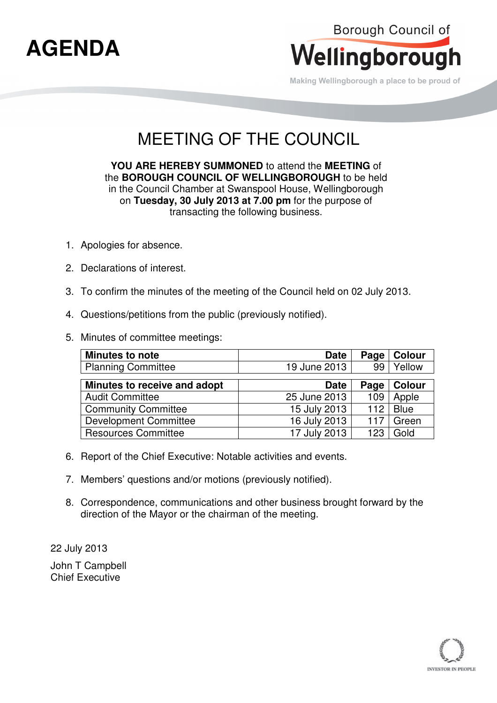

Making Wellingborough a place to be proud of

## MEETING OF THE COUNCIL

**YOU ARE HEREBY SUMMONED** to attend the **MEETING** of the **BOROUGH COUNCIL OF WELLINGBOROUGH** to be held in the Council Chamber at Swanspool House, Wellingborough on **Tuesday, 30 July 2013 at 7.00 pm** for the purpose of transacting the following business.

- 1. Apologies for absence.
- 2. Declarations of interest.
- 3. To confirm the minutes of the meeting of the Council held on 02 July 2013.
- 4. Questions/petitions from the public (previously notified).
- 5. Minutes of committee meetings:

| Minutes to note              | <b>Date</b>  | Page | Colour      |
|------------------------------|--------------|------|-------------|
| <b>Planning Committee</b>    | 19 June 2013 | 99   | Yellow      |
|                              |              |      |             |
| Minutes to receive and adopt | <b>Date</b>  | Page | Colour      |
| <b>Audit Committee</b>       | 25 June 2013 | 109  | Apple       |
| <b>Community Committee</b>   | 15 July 2013 | 112  | <b>Blue</b> |
| <b>Development Committee</b> | 16 July 2013 | 117  | Green       |
| <b>Resources Committee</b>   | 17 July 2013 | 123  | Gold        |

- 6. Report of the Chief Executive: Notable activities and events.
- 7. Members' questions and/or motions (previously notified).
- 8. Correspondence, communications and other business brought forward by the direction of the Mayor or the chairman of the meeting.

22 July 2013 John T Campbell Chief Executive